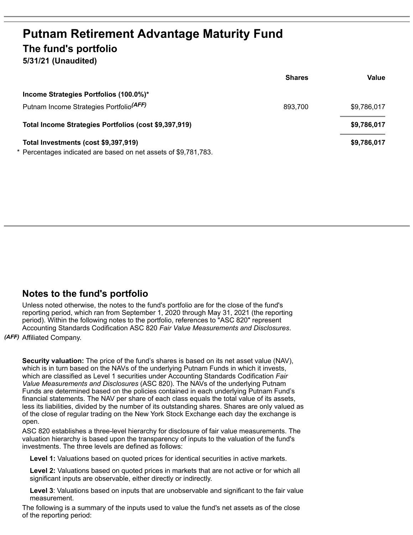## **Putnam Retirement Advantage Maturity Fund The fund's portfolio**

**5/31/21 (Unaudited)**

|                                                                 | <b>Shares</b> | Value       |
|-----------------------------------------------------------------|---------------|-------------|
| Income Strategies Portfolios (100.0%)*                          |               |             |
| Putnam Income Strategies Portfolio <sup>(AFF)</sup>             | 893,700       | \$9,786,017 |
| Total Income Strategies Portfolios (cost \$9,397,919)           |               | \$9,786,017 |
| Total Investments (cost \$9,397,919)                            |               | \$9,786,017 |
| * Percentages indicated are based on net assets of \$9,781,783. |               |             |

## **Notes to the fund's portfolio**

Unless noted otherwise, the notes to the fund's portfolio are for the close of the fund's reporting period, which ran from September 1, 2020 through May 31, 2021 (the reporting period). Within the following notes to the portfolio, references to "ASC 820" represent Accounting Standards Codification ASC 820 *Fair Value Measurements and Disclosures*.

*(AFF)* Affiliated Company.

**Security valuation:** The price of the fund's shares is based on its net asset value (NAV), which is in turn based on the NAVs of the underlying Putnam Funds in which it invests, which are classified as Level 1 securities under Accounting Standards Codification *Fair Value Measurements and Disclosures* (ASC 820). The NAVs of the underlying Putnam Funds are determined based on the policies contained in each underlying Putnam Fund's financial statements. The NAV per share of each class equals the total value of its assets, less its liabilities, divided by the number of its outstanding shares. Shares are only valued as of the close of regular trading on the New York Stock Exchange each day the exchange is open.

ASC 820 establishes a three-level hierarchy for disclosure of fair value measurements. The valuation hierarchy is based upon the transparency of inputs to the valuation of the fund's investments. The three levels are defined as follows:

**Level 1:** Valuations based on quoted prices for identical securities in active markets.

**Level 2:** Valuations based on quoted prices in markets that are not active or for which all significant inputs are observable, either directly or indirectly.

**Level 3**: Valuations based on inputs that are unobservable and significant to the fair value measurement.

The following is a summary of the inputs used to value the fund's net assets as of the close of the reporting period: